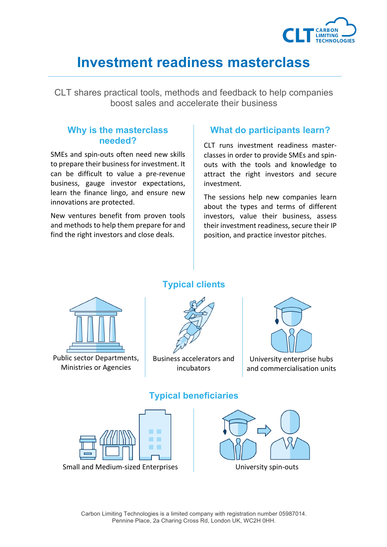

# **Investment readiness masterclass**

CLT shares practical tools, methods and feedback to help companies boost sales and accelerate their business

#### **Why is the masterclass needed?**

SMEs and spin-outs often need new skills to prepare their business for investment. It can be difficult to value a pre-revenue business, gauge investor expectations, learn the finance lingo, and ensure new innovations are protected.

New ventures benefit from proven tools and methods to help them prepare for and find the right investors and close deals.

### **What do participants learn?**

CLT runs investment readiness masterclasses in order to provide SMEs and spinouts with the tools and knowledge to attract the right investors and secure investment. 

The sessions help new companies learn about the types and terms of different investors, value their business, assess their investment readiness, secure their IP position, and practice investor pitches.



Public sector Departments, Ministries or Agencies

## **Typical clients**



Business accelerators and incubators



University enterprise hubs and commercialisation units



## **Typical beneficiaries**